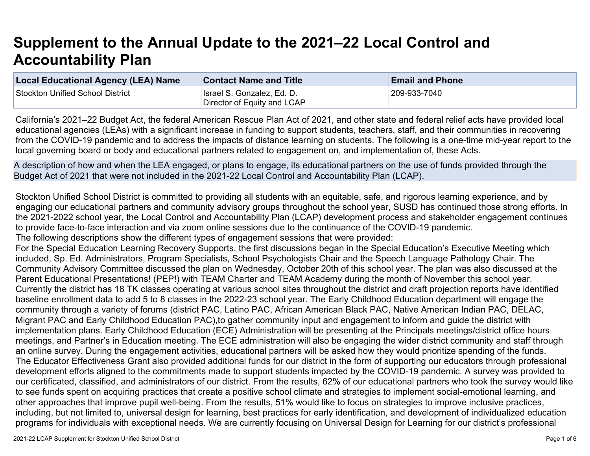## **Supplement to the Annual Update to the 2021–22 Local Control and Accountability Plan**

| Local Educational Agency (LEA) Name | <b>Contact Name and Title</b> | <b>Email and Phone</b> |
|-------------------------------------|-------------------------------|------------------------|
| Stockton Unified School District    | Israel S. Gonzalez, Ed. D.    | 209-933-7040           |
|                                     | Director of Equity and LCAP   |                        |

California's 2021–22 Budget Act, the federal American Rescue Plan Act of 2021, and other state and federal relief acts have provided local educational agencies (LEAs) with a significant increase in funding to support students, teachers, staff, and their communities in recovering from the COVID-19 pandemic and to address the impacts of distance learning on students. The following is a one-time mid-year report to the local governing board or body and educational partners related to engagement on, and implementation of, these Acts.

A description of how and when the LEA engaged, or plans to engage, its educational partners on the use of funds provided through the Budget Act of 2021 that were not included in the 2021-22 Local Control and Accountability Plan (LCAP).

Stockton Unified School District is committed to providing all students with an equitable, safe, and rigorous learning experience, and by engaging our educational partners and community advisory groups throughout the school year, SUSD has continued those strong efforts. In the 2021-2022 school year, the Local Control and Accountability Plan (LCAP) development process and stakeholder engagement continues to provide face-to-face interaction and via zoom online sessions due to the continuance of the COVID-19 pandemic.

The following descriptions show the different types of engagement sessions that were provided:

For the Special Education Learning Recovery Supports, the first discussions began in the Special Education's Executive Meeting which included, Sp. Ed. Administrators, Program Specialists, School Psychologists Chair and the Speech Language Pathology Chair. The Community Advisory Committee discussed the plan on Wednesday, October 20th of this school year. The plan was also discussed at the Parent Educational Presentations! (PEP!) with TEAM Charter and TEAM Academy during the month of November this school year. Currently the district has 18 TK classes operating at various school sites throughout the district and draft projection reports have identified baseline enrollment data to add 5 to 8 classes in the 2022-23 school year. The Early Childhood Education department will engage the community through a variety of forums (district PAC, Latino PAC, African American Black PAC, Native American Indian PAC, DELAC, Migrant PAC and Early Childhood Education PAC),to gather community input and engagement to inform and guide the district with implementation plans. Early Childhood Education (ECE) Administration will be presenting at the Principals meetings/district office hours meetings, and Partner's in Education meeting. The ECE administration will also be engaging the wider district community and staff through an online survey. During the engagement activities, educational partners will be asked how they would prioritize spending of the funds. The Educator Effectiveness Grant also provided additional funds for our district in the form of supporting our educators through professional development efforts aligned to the commitments made to support students impacted by the COVID-19 pandemic. A survey was provided to our certificated, classified, and administrators of our district. From the results, 62% of our educational partners who took the survey would like to see funds spent on acquiring practices that create a positive school climate and strategies to implement social-emotional learning, and other approaches that improve pupil well-being. From the results, 51% would like to focus on strategies to improve inclusive practices, including, but not limited to, universal design for learning, best practices for early identification, and development of individualized education programs for individuals with exceptional needs. We are currently focusing on Universal Design for Learning for our district's professional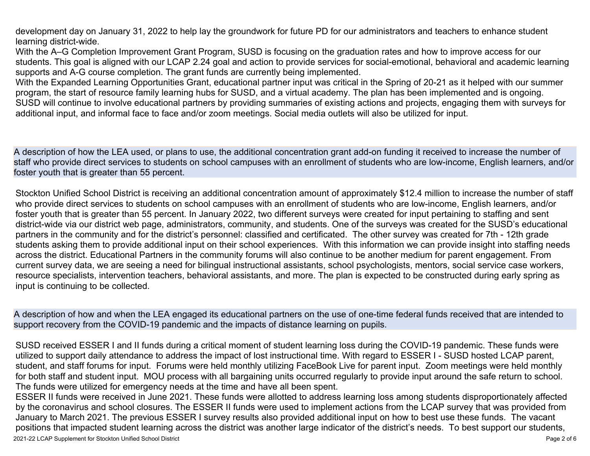development day on January 31, 2022 to help lay the groundwork for future PD for our administrators and teachers to enhance student learning district-wide.

With the A–G Completion Improvement Grant Program, SUSD is focusing on the graduation rates and how to improve access for our students. This goal is aligned with our LCAP 2.24 goal and action to provide services for social-emotional, behavioral and academic learning supports and A-G course completion. The grant funds are currently being implemented.

With the Expanded Learning Opportunities Grant, educational partner input was critical in the Spring of 20-21 as it helped with our summer program, the start of resource family learning hubs for SUSD, and a virtual academy. The plan has been implemented and is ongoing. SUSD will continue to involve educational partners by providing summaries of existing actions and projects, engaging them with surveys for additional input, and informal face to face and/or zoom meetings. Social media outlets will also be utilized for input.

A description of how the LEA used, or plans to use, the additional concentration grant add-on funding it received to increase the number of staff who provide direct services to students on school campuses with an enrollment of students who are low-income, English learners, and/or foster youth that is greater than 55 percent.

Stockton Unified School District is receiving an additional concentration amount of approximately \$12.4 million to increase the number of staff who provide direct services to students on school campuses with an enrollment of students who are low-income, English learners, and/or foster youth that is greater than 55 percent. In January 2022, two different surveys were created for input pertaining to staffing and sent district-wide via our district web page, administrators, community, and students. One of the surveys was created for the SUSD's educational partners in the community and for the district's personnel: classified and certificated. The other survey was created for 7th - 12th grade students asking them to provide additional input on their school experiences. With this information we can provide insight into staffing needs across the district. Educational Partners in the community forums will also continue to be another medium for parent engagement. From current survey data, we are seeing a need for bilingual instructional assistants, school psychologists, mentors, social service case workers, resource specialists, intervention teachers, behavioral assistants, and more. The plan is expected to be constructed during early spring as input is continuing to be collected.

A description of how and when the LEA engaged its educational partners on the use of one-time federal funds received that are intended to support recovery from the COVID-19 pandemic and the impacts of distance learning on pupils.

SUSD received ESSER I and II funds during a critical moment of student learning loss during the COVID-19 pandemic. These funds were utilized to support daily attendance to address the impact of lost instructional time. With regard to ESSER I - SUSD hosted LCAP parent, student, and staff forums for input. Forums were held monthly utilizing FaceBook Live for parent input. Zoom meetings were held monthly for both staff and student input. MOU process with all bargaining units occurred regularly to provide input around the safe return to school. The funds were utilized for emergency needs at the time and have all been spent.

ESSER II funds were received in June 2021. These funds were allotted to address learning loss among students disproportionately affected by the coronavirus and school closures. The ESSER II funds were used to implement actions from the LCAP survey that was provided from January to March 2021. The previous ESSER I survey results also provided additional input on how to best use these funds. The vacant positions that impacted student learning across the district was another large indicator of the district's needs. To best support our students,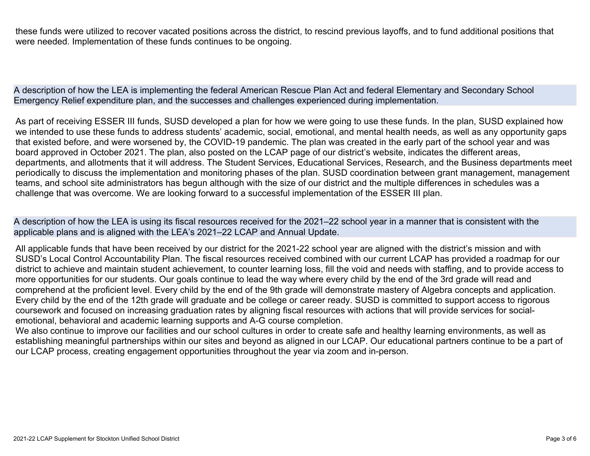these funds were utilized to recover vacated positions across the district, to rescind previous layoffs, and to fund additional positions that were needed. Implementation of these funds continues to be ongoing.

A description of how the LEA is implementing the federal American Rescue Plan Act and federal Elementary and Secondary School Emergency Relief expenditure plan, and the successes and challenges experienced during implementation.

As part of receiving ESSER III funds, SUSD developed a plan for how we were going to use these funds. In the plan, SUSD explained how we intended to use these funds to address students' academic, social, emotional, and mental health needs, as well as any opportunity gaps that existed before, and were worsened by, the COVID-19 pandemic. The plan was created in the early part of the school year and was board approved in October 2021. The plan, also posted on the LCAP page of our district's website, indicates the different areas, departments, and allotments that it will address. The Student Services, Educational Services, Research, and the Business departments meet periodically to discuss the implementation and monitoring phases of the plan. SUSD coordination between grant management, management teams, and school site administrators has begun although with the size of our district and the multiple differences in schedules was a challenge that was overcome. We are looking forward to a successful implementation of the ESSER III plan.

A description of how the LEA is using its fiscal resources received for the 2021–22 school year in a manner that is consistent with the applicable plans and is aligned with the LEA's 2021–22 LCAP and Annual Update.

All applicable funds that have been received by our district for the 2021-22 school year are aligned with the district's mission and with SUSD's Local Control Accountability Plan. The fiscal resources received combined with our current LCAP has provided a roadmap for our district to achieve and maintain student achievement, to counter learning loss, fill the void and needs with staffing, and to provide access to more opportunities for our students. Our goals continue to lead the way where every child by the end of the 3rd grade will read and comprehend at the proficient level. Every child by the end of the 9th grade will demonstrate mastery of Algebra concepts and application. Every child by the end of the 12th grade will graduate and be college or career ready. SUSD is committed to support access to rigorous coursework and focused on increasing graduation rates by aligning fiscal resources with actions that will provide services for socialemotional, behavioral and academic learning supports and A-G course completion.

We also continue to improve our facilities and our school cultures in order to create safe and healthy learning environments, as well as establishing meaningful partnerships within our sites and beyond as aligned in our LCAP. Our educational partners continue to be a part of our LCAP process, creating engagement opportunities throughout the year via zoom and in-person.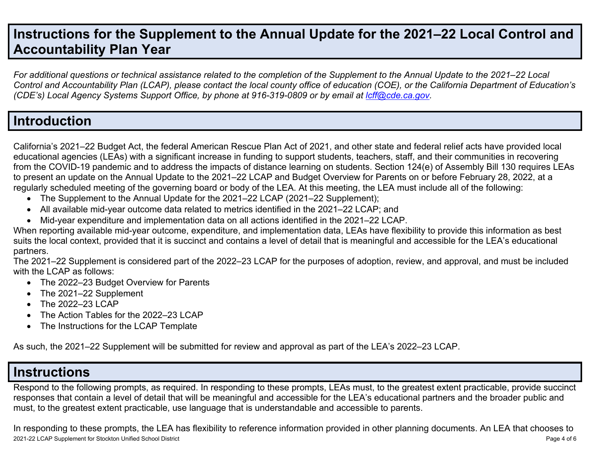## **Instructions for the Supplement to the Annual Update for the 2021–22 Local Control and Accountability Plan Year**

For additional questions or technical assistance related to the completion of the Supplement to the Annual Update to the 2021–22 Local Control and Accountability Plan (LCAP), please contact the local county office of education (COE), or the California Department of Education's *(CDE's) Local Agency Systems Support Office, by phone at 916-319-0809 or by email at [lcff@cde.ca.gov](mailto:lcff@cde.ca.gov).*

## **Introduction**

California's 2021–22 Budget Act, the federal American Rescue Plan Act of 2021, and other state and federal relief acts have provided local educational agencies (LEAs) with a significant increase in funding to support students, teachers, staff, and their communities in recovering from the COVID-19 pandemic and to address the impacts of distance learning on students. Section 124(e) of Assembly Bill 130 requires LEAs to present an update on the Annual Update to the 2021–22 LCAP and Budget Overview for Parents on or before February 28, 2022, at a regularly scheduled meeting of the governing board or body of the LEA. At this meeting, the LEA must include all of the following:

- The Supplement to the Annual Update for the 2021–22 LCAP (2021–22 Supplement);
- All available mid-year outcome data related to metrics identified in the 2021–22 LCAP; and
- Mid-year expenditure and implementation data on all actions identified in the 2021–22 LCAP.

When reporting available mid-year outcome, expenditure, and implementation data, LEAs have flexibility to provide this information as best suits the local context, provided that it is succinct and contains a level of detail that is meaningful and accessible for the LEA's educational partners.

The 2021–22 Supplement is considered part of the 2022–23 LCAP for the purposes of adoption, review, and approval, and must be included with the LCAP as follows:

- The 2022–23 Budget Overview for Parents
- The 2021–22 Supplement
- The 2022-23 LCAP
- The Action Tables for the 2022–23 LCAP
- The Instructions for the LCAP Template

As such, the 2021–22 Supplement will be submitted for review and approval as part of the LEA's 2022–23 LCAP.

## **Instructions**

Respond to the following prompts, as required. In responding to these prompts, LEAs must, to the greatest extent practicable, provide succinct responses that contain a level of detail that will be meaningful and accessible for the LEA's educational partners and the broader public and must, to the greatest extent practicable, use language that is understandable and accessible to parents.

2021-22 LCAP Supplement for Stockton Unified School District Page 4 of 6 In responding to these prompts, the LEA has flexibility to reference information provided in other planning documents. An LEA that chooses to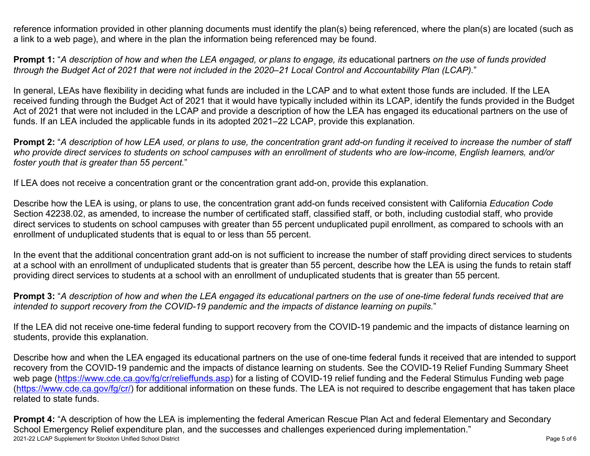reference information provided in other planning documents must identify the plan(s) being referenced, where the plan(s) are located (such as a link to a web page), and where in the plan the information being referenced may be found.

**Prompt 1:** "A description of how and when the LEA engaged, or plans to engage, its educational partners on the use of funds provided through the Budget Act of 2021 that were not included in the 2020–21 Local Control and Accountability Plan (LCAP)."

In general, LEAs have flexibility in deciding what funds are included in the LCAP and to what extent those funds are included. If the LEA received funding through the Budget Act of 2021 that it would have typically included within its LCAP, identify the funds provided in the Budget Act of 2021 that were not included in the LCAP and provide a description of how the LEA has engaged its educational partners on the use of funds. If an LEA included the applicable funds in its adopted 2021–22 LCAP, provide this explanation.

**Prompt 2:** "A description of how LEA used, or plans to use, the concentration grant add-on funding it received to increase the number of staff who provide direct services to students on school campuses with an enrollment of students who are low-income, English learners, and/or *foster youth that is greater than 55 percent.*"

If LEA does not receive a concentration grant or the concentration grant add-on, provide this explanation.

Describe how the LEA is using, or plans to use, the concentration grant add-on funds received consistent with California *Education Code* Section 42238.02, as amended, to increase the number of certificated staff, classified staff, or both, including custodial staff, who provide direct services to students on school campuses with greater than 55 percent unduplicated pupil enrollment, as compared to schools with an enrollment of unduplicated students that is equal to or less than 55 percent.

In the event that the additional concentration grant add-on is not sufficient to increase the number of staff providing direct services to students at a school with an enrollment of unduplicated students that is greater than 55 percent, describe how the LEA is using the funds to retain staff providing direct services to students at a school with an enrollment of unduplicated students that is greater than 55 percent.

**Prompt 3:** "A description of how and when the LEA engaged its educational partners on the use of one-time federal funds received that are *intended to support recovery from the COVID-19 pandemic and the impacts of distance learning on pupils.*"

If the LEA did not receive one-time federal funding to support recovery from the COVID-19 pandemic and the impacts of distance learning on students, provide this explanation.

Describe how and when the LEA engaged its educational partners on the use of one-time federal funds it received that are intended to support recovery from the COVID-19 pandemic and the impacts of distance learning on students. See the COVID-19 Relief Funding Summary Sheet web page [\(https://www.cde.ca.gov/fg/cr/relieffunds.asp\)](https://www.cde.ca.gov/fg/cr/relieffunds.asp) for a listing of COVID-19 relief funding and the Federal Stimulus Funding web page (<https://www.cde.ca.gov/fg/cr/>) for additional information on these funds. The LEA is not required to describe engagement that has taken place related to state funds.

2021-22 LCAP Supplement for Stockton Unified School District **National School District** Page 5 of 6 **Prompt 4:** "A description of how the LEA is implementing the federal American Rescue Plan Act and federal Elementary and Secondary School Emergency Relief expenditure plan, and the successes and challenges experienced during implementation."